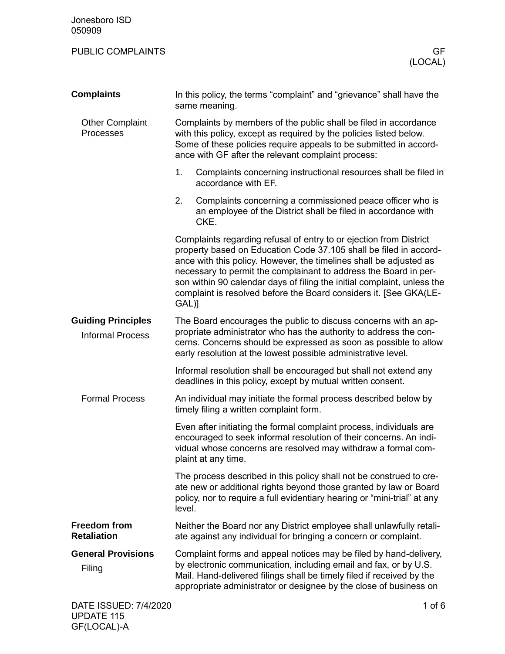| <b>PUBLIC COMPLAINTS</b>                             | GF<br>(LOCAL)                                                                                                                                                                                                                                                                                                                                                                                                                              |  |
|------------------------------------------------------|--------------------------------------------------------------------------------------------------------------------------------------------------------------------------------------------------------------------------------------------------------------------------------------------------------------------------------------------------------------------------------------------------------------------------------------------|--|
| <b>Complaints</b>                                    | In this policy, the terms "complaint" and "grievance" shall have the<br>same meaning.                                                                                                                                                                                                                                                                                                                                                      |  |
| <b>Other Complaint</b><br>Processes                  | Complaints by members of the public shall be filed in accordance<br>with this policy, except as required by the policies listed below.<br>Some of these policies require appeals to be submitted in accord-<br>ance with GF after the relevant complaint process:                                                                                                                                                                          |  |
|                                                      | 1.<br>Complaints concerning instructional resources shall be filed in<br>accordance with EF.                                                                                                                                                                                                                                                                                                                                               |  |
|                                                      | 2.<br>Complaints concerning a commissioned peace officer who is<br>an employee of the District shall be filed in accordance with<br>CKE.                                                                                                                                                                                                                                                                                                   |  |
|                                                      | Complaints regarding refusal of entry to or ejection from District<br>property based on Education Code 37.105 shall be filed in accord-<br>ance with this policy. However, the timelines shall be adjusted as<br>necessary to permit the complainant to address the Board in per-<br>son within 90 calendar days of filing the initial complaint, unless the<br>complaint is resolved before the Board considers it. [See GKA(LE-<br>GAL)] |  |
| <b>Guiding Principles</b><br><b>Informal Process</b> | The Board encourages the public to discuss concerns with an ap-<br>propriate administrator who has the authority to address the con-<br>cerns. Concerns should be expressed as soon as possible to allow<br>early resolution at the lowest possible administrative level.                                                                                                                                                                  |  |
|                                                      | Informal resolution shall be encouraged but shall not extend any<br>deadlines in this policy, except by mutual written consent.                                                                                                                                                                                                                                                                                                            |  |
| <b>Formal Process</b>                                | An individual may initiate the formal process described below by<br>timely filing a written complaint form.                                                                                                                                                                                                                                                                                                                                |  |
|                                                      | Even after initiating the formal complaint process, individuals are<br>encouraged to seek informal resolution of their concerns. An indi-<br>vidual whose concerns are resolved may withdraw a formal com-<br>plaint at any time.                                                                                                                                                                                                          |  |
|                                                      | The process described in this policy shall not be construed to cre-<br>ate new or additional rights beyond those granted by law or Board<br>policy, nor to require a full evidentiary hearing or "mini-trial" at any<br>level.                                                                                                                                                                                                             |  |
| <b>Freedom from</b><br><b>Retaliation</b>            | Neither the Board nor any District employee shall unlawfully retali-<br>ate against any individual for bringing a concern or complaint.                                                                                                                                                                                                                                                                                                    |  |
| <b>General Provisions</b><br>Filing                  | Complaint forms and appeal notices may be filed by hand-delivery,<br>by electronic communication, including email and fax, or by U.S.<br>Mail. Hand-delivered filings shall be timely filed if received by the<br>appropriate administrator or designee by the close of business on                                                                                                                                                        |  |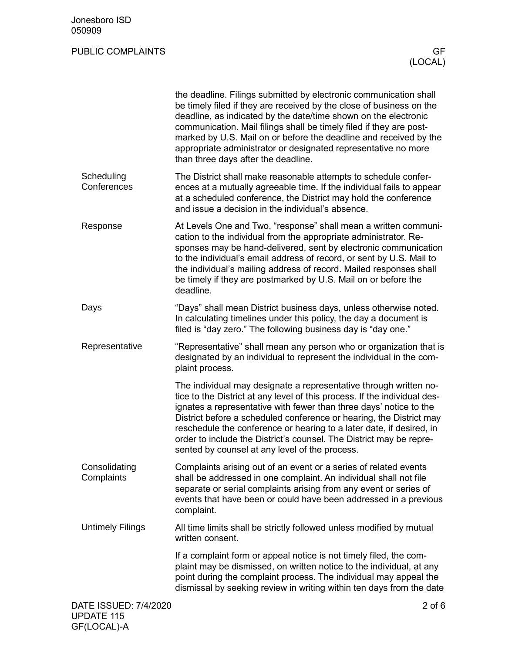## PUBLIC COMPLAINTS GF

|                                              | the deadline. Filings submitted by electronic communication shall<br>be timely filed if they are received by the close of business on the<br>deadline, as indicated by the date/time shown on the electronic<br>communication. Mail filings shall be timely filed if they are post-<br>marked by U.S. Mail on or before the deadline and received by the<br>appropriate administrator or designated representative no more<br>than three days after the deadline.                            |
|----------------------------------------------|----------------------------------------------------------------------------------------------------------------------------------------------------------------------------------------------------------------------------------------------------------------------------------------------------------------------------------------------------------------------------------------------------------------------------------------------------------------------------------------------|
| Scheduling<br>Conferences                    | The District shall make reasonable attempts to schedule confer-<br>ences at a mutually agreeable time. If the individual fails to appear<br>at a scheduled conference, the District may hold the conference<br>and issue a decision in the individual's absence.                                                                                                                                                                                                                             |
| Response                                     | At Levels One and Two, "response" shall mean a written communi-<br>cation to the individual from the appropriate administrator. Re-<br>sponses may be hand-delivered, sent by electronic communication<br>to the individual's email address of record, or sent by U.S. Mail to<br>the individual's mailing address of record. Mailed responses shall<br>be timely if they are postmarked by U.S. Mail on or before the<br>deadline.                                                          |
| Days                                         | "Days" shall mean District business days, unless otherwise noted.<br>In calculating timelines under this policy, the day a document is<br>filed is "day zero." The following business day is "day one."                                                                                                                                                                                                                                                                                      |
| Representative                               | "Representative" shall mean any person who or organization that is<br>designated by an individual to represent the individual in the com-<br>plaint process.                                                                                                                                                                                                                                                                                                                                 |
|                                              | The individual may designate a representative through written no-<br>tice to the District at any level of this process. If the individual des-<br>ignates a representative with fewer than three days' notice to the<br>District before a scheduled conference or hearing, the District may<br>reschedule the conference or hearing to a later date, if desired, in<br>order to include the District's counsel. The District may be repre-<br>sented by counsel at any level of the process. |
| Consolidating<br>Complaints                  | Complaints arising out of an event or a series of related events<br>shall be addressed in one complaint. An individual shall not file<br>separate or serial complaints arising from any event or series of<br>events that have been or could have been addressed in a previous<br>complaint.                                                                                                                                                                                                 |
| <b>Untimely Filings</b>                      | All time limits shall be strictly followed unless modified by mutual<br>written consent.                                                                                                                                                                                                                                                                                                                                                                                                     |
|                                              | If a complaint form or appeal notice is not timely filed, the com-<br>plaint may be dismissed, on written notice to the individual, at any<br>point during the complaint process. The individual may appeal the<br>dismissal by seeking review in writing within ten days from the date                                                                                                                                                                                                      |
| DATE ISSUED: 7/4/2020<br><b>I IPDATE 115</b> | $2$ of $6$                                                                                                                                                                                                                                                                                                                                                                                                                                                                                   |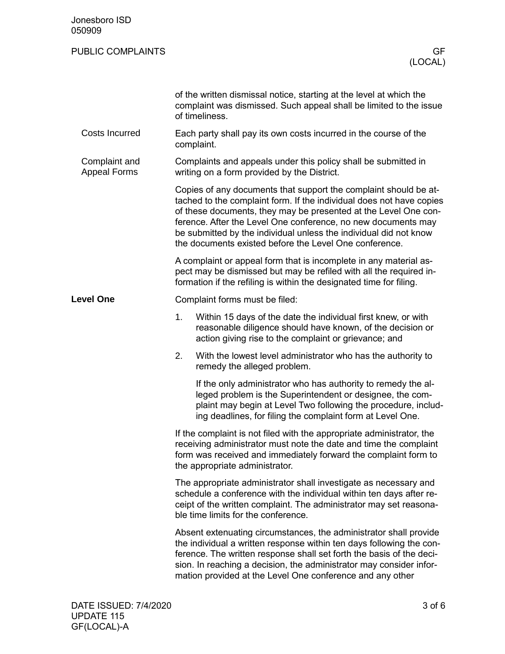| Jonesboro ISD<br>050909              |                                                                                                                                                                                                                                                                                                                                                                                                             |                                                                                                                                                                                                                                                                                                                                                       |  |  |  |
|--------------------------------------|-------------------------------------------------------------------------------------------------------------------------------------------------------------------------------------------------------------------------------------------------------------------------------------------------------------------------------------------------------------------------------------------------------------|-------------------------------------------------------------------------------------------------------------------------------------------------------------------------------------------------------------------------------------------------------------------------------------------------------------------------------------------------------|--|--|--|
| <b>PUBLIC COMPLAINTS</b>             |                                                                                                                                                                                                                                                                                                                                                                                                             | GF<br>(LOCAL)                                                                                                                                                                                                                                                                                                                                         |  |  |  |
|                                      |                                                                                                                                                                                                                                                                                                                                                                                                             | of the written dismissal notice, starting at the level at which the<br>complaint was dismissed. Such appeal shall be limited to the issue<br>of timeliness.                                                                                                                                                                                           |  |  |  |
| <b>Costs Incurred</b>                |                                                                                                                                                                                                                                                                                                                                                                                                             | Each party shall pay its own costs incurred in the course of the<br>complaint.                                                                                                                                                                                                                                                                        |  |  |  |
| Complaint and<br><b>Appeal Forms</b> |                                                                                                                                                                                                                                                                                                                                                                                                             | Complaints and appeals under this policy shall be submitted in<br>writing on a form provided by the District.                                                                                                                                                                                                                                         |  |  |  |
|                                      | Copies of any documents that support the complaint should be at-<br>tached to the complaint form. If the individual does not have copies<br>of these documents, they may be presented at the Level One con-<br>ference. After the Level One conference, no new documents may<br>be submitted by the individual unless the individual did not know<br>the documents existed before the Level One conference. |                                                                                                                                                                                                                                                                                                                                                       |  |  |  |
|                                      |                                                                                                                                                                                                                                                                                                                                                                                                             | A complaint or appeal form that is incomplete in any material as-<br>pect may be dismissed but may be refiled with all the required in-<br>formation if the refiling is within the designated time for filing.                                                                                                                                        |  |  |  |
| <b>Level One</b>                     |                                                                                                                                                                                                                                                                                                                                                                                                             | Complaint forms must be filed:                                                                                                                                                                                                                                                                                                                        |  |  |  |
|                                      | 1.                                                                                                                                                                                                                                                                                                                                                                                                          | Within 15 days of the date the individual first knew, or with<br>reasonable diligence should have known, of the decision or<br>action giving rise to the complaint or grievance; and                                                                                                                                                                  |  |  |  |
|                                      | 2.                                                                                                                                                                                                                                                                                                                                                                                                          | With the lowest level administrator who has the authority to<br>remedy the alleged problem.                                                                                                                                                                                                                                                           |  |  |  |
|                                      |                                                                                                                                                                                                                                                                                                                                                                                                             | If the only administrator who has authority to remedy the al-<br>leged problem is the Superintendent or designee, the com-<br>plaint may begin at Level Two following the procedure, includ-<br>ing deadlines, for filing the complaint form at Level One.                                                                                            |  |  |  |
|                                      | If the complaint is not filed with the appropriate administrator, the<br>receiving administrator must note the date and time the complaint<br>form was received and immediately forward the complaint form to<br>the appropriate administrator.                                                                                                                                                             |                                                                                                                                                                                                                                                                                                                                                       |  |  |  |
|                                      | The appropriate administrator shall investigate as necessary and<br>schedule a conference with the individual within ten days after re-<br>ceipt of the written complaint. The administrator may set reasona-<br>ble time limits for the conference.                                                                                                                                                        |                                                                                                                                                                                                                                                                                                                                                       |  |  |  |
|                                      |                                                                                                                                                                                                                                                                                                                                                                                                             | Absent extenuating circumstances, the administrator shall provide<br>the individual a written response within ten days following the con-<br>ference. The written response shall set forth the basis of the deci-<br>sion. In reaching a decision, the administrator may consider infor-<br>mation provided at the Level One conference and any other |  |  |  |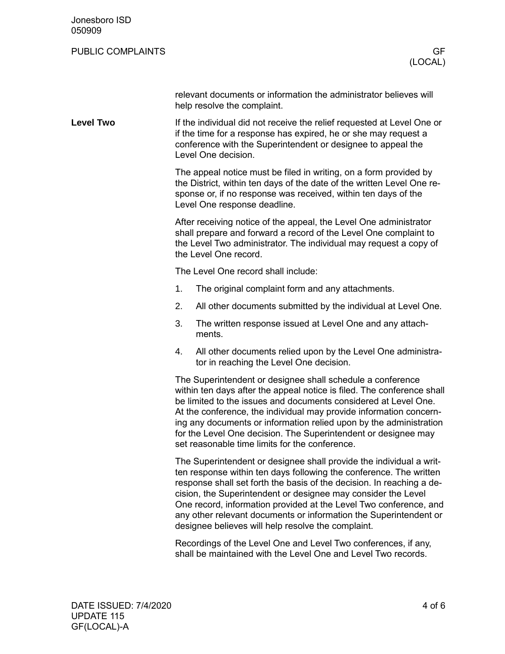| Jonesboro ISD<br>050909  |                                                                                                                                                                                                                                                                                                                                                                                                                                                                                     |                                                                                                                                                                                                                                     |  |
|--------------------------|-------------------------------------------------------------------------------------------------------------------------------------------------------------------------------------------------------------------------------------------------------------------------------------------------------------------------------------------------------------------------------------------------------------------------------------------------------------------------------------|-------------------------------------------------------------------------------------------------------------------------------------------------------------------------------------------------------------------------------------|--|
| <b>PUBLIC COMPLAINTS</b> |                                                                                                                                                                                                                                                                                                                                                                                                                                                                                     | GF.<br>(LOCAL)                                                                                                                                                                                                                      |  |
|                          |                                                                                                                                                                                                                                                                                                                                                                                                                                                                                     | relevant documents or information the administrator believes will<br>help resolve the complaint.                                                                                                                                    |  |
| <b>Level Two</b>         | If the individual did not receive the relief requested at Level One or<br>if the time for a response has expired, he or she may request a<br>conference with the Superintendent or designee to appeal the<br>Level One decision.                                                                                                                                                                                                                                                    |                                                                                                                                                                                                                                     |  |
|                          | The appeal notice must be filed in writing, on a form provided by<br>the District, within ten days of the date of the written Level One re-<br>sponse or, if no response was received, within ten days of the<br>Level One response deadline.                                                                                                                                                                                                                                       |                                                                                                                                                                                                                                     |  |
|                          |                                                                                                                                                                                                                                                                                                                                                                                                                                                                                     | After receiving notice of the appeal, the Level One administrator<br>shall prepare and forward a record of the Level One complaint to<br>the Level Two administrator. The individual may request a copy of<br>the Level One record. |  |
|                          |                                                                                                                                                                                                                                                                                                                                                                                                                                                                                     | The Level One record shall include:                                                                                                                                                                                                 |  |
|                          | 1.                                                                                                                                                                                                                                                                                                                                                                                                                                                                                  | The original complaint form and any attachments.                                                                                                                                                                                    |  |
|                          | 2.                                                                                                                                                                                                                                                                                                                                                                                                                                                                                  | All other documents submitted by the individual at Level One.                                                                                                                                                                       |  |
|                          | 3.                                                                                                                                                                                                                                                                                                                                                                                                                                                                                  | The written response issued at Level One and any attach-<br>ments.                                                                                                                                                                  |  |
|                          | 4.                                                                                                                                                                                                                                                                                                                                                                                                                                                                                  | All other documents relied upon by the Level One administra-<br>tor in reaching the Level One decision.                                                                                                                             |  |
|                          | The Superintendent or designee shall schedule a conference<br>within ten days after the appeal notice is filed. The conference shall<br>be limited to the issues and documents considered at Level One.<br>At the conference, the individual may provide information concern-<br>ing any documents or information relied upon by the administration<br>for the Level One decision. The Superintendent or designee may<br>set reasonable time limits for the conference.             |                                                                                                                                                                                                                                     |  |
|                          | The Superintendent or designee shall provide the individual a writ-<br>ten response within ten days following the conference. The written<br>response shall set forth the basis of the decision. In reaching a de-<br>cision, the Superintendent or designee may consider the Level<br>One record, information provided at the Level Two conference, and<br>any other relevant documents or information the Superintendent or<br>designee believes will help resolve the complaint. |                                                                                                                                                                                                                                     |  |
|                          |                                                                                                                                                                                                                                                                                                                                                                                                                                                                                     | Recordings of the Level One and Level Two conferences, if any,<br>shall be maintained with the Level One and Level Two records.                                                                                                     |  |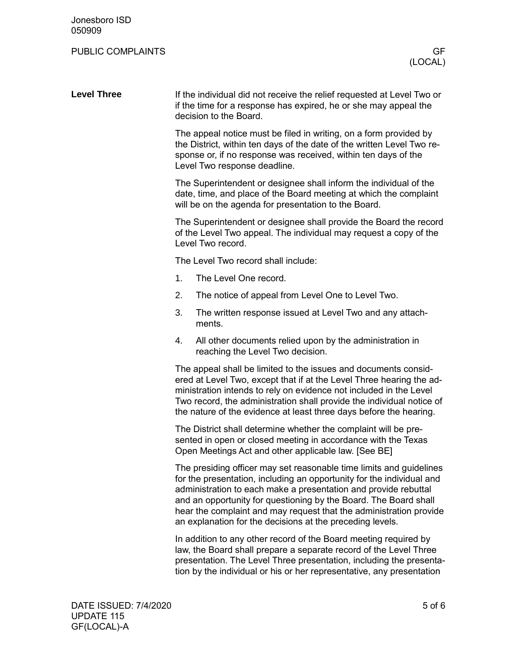## PUBLIC COMPLAINTS GF

| <b>Level Three</b> | If the individual did not receive the relief requested at Level Two or<br>if the time for a response has expired, he or she may appeal the<br>decision to the Board.                                                                                                                                                                                                                                                   |  |  |
|--------------------|------------------------------------------------------------------------------------------------------------------------------------------------------------------------------------------------------------------------------------------------------------------------------------------------------------------------------------------------------------------------------------------------------------------------|--|--|
|                    | The appeal notice must be filed in writing, on a form provided by<br>the District, within ten days of the date of the written Level Two re-<br>sponse or, if no response was received, within ten days of the<br>Level Two response deadline.                                                                                                                                                                          |  |  |
|                    | The Superintendent or designee shall inform the individual of the<br>date, time, and place of the Board meeting at which the complaint<br>will be on the agenda for presentation to the Board.                                                                                                                                                                                                                         |  |  |
|                    | The Superintendent or designee shall provide the Board the record<br>of the Level Two appeal. The individual may request a copy of the<br>Level Two record.                                                                                                                                                                                                                                                            |  |  |
|                    | The Level Two record shall include:                                                                                                                                                                                                                                                                                                                                                                                    |  |  |
|                    | 1.<br>The Level One record.                                                                                                                                                                                                                                                                                                                                                                                            |  |  |
|                    | 2.<br>The notice of appeal from Level One to Level Two.                                                                                                                                                                                                                                                                                                                                                                |  |  |
|                    | 3.<br>The written response issued at Level Two and any attach-<br>ments.                                                                                                                                                                                                                                                                                                                                               |  |  |
|                    | All other documents relied upon by the administration in<br>4.<br>reaching the Level Two decision.                                                                                                                                                                                                                                                                                                                     |  |  |
|                    | The appeal shall be limited to the issues and documents consid-<br>ered at Level Two, except that if at the Level Three hearing the ad-<br>ministration intends to rely on evidence not included in the Level<br>Two record, the administration shall provide the individual notice of<br>the nature of the evidence at least three days before the hearing.                                                           |  |  |
|                    | The District shall determine whether the complaint will be pre-<br>sented in open or closed meeting in accordance with the Texas<br>Open Meetings Act and other applicable law. [See BE]                                                                                                                                                                                                                               |  |  |
|                    | The presiding officer may set reasonable time limits and guidelines<br>for the presentation, including an opportunity for the individual and<br>administration to each make a presentation and provide rebuttal<br>and an opportunity for questioning by the Board. The Board shall<br>hear the complaint and may request that the administration provide<br>an explanation for the decisions at the preceding levels. |  |  |
|                    | In addition to any other record of the Board meeting required by                                                                                                                                                                                                                                                                                                                                                       |  |  |

law, the Board shall prepare a separate record of the Level Three presentation. The Level Three presentation, including the presentation by the individual or his or her representative, any presentation